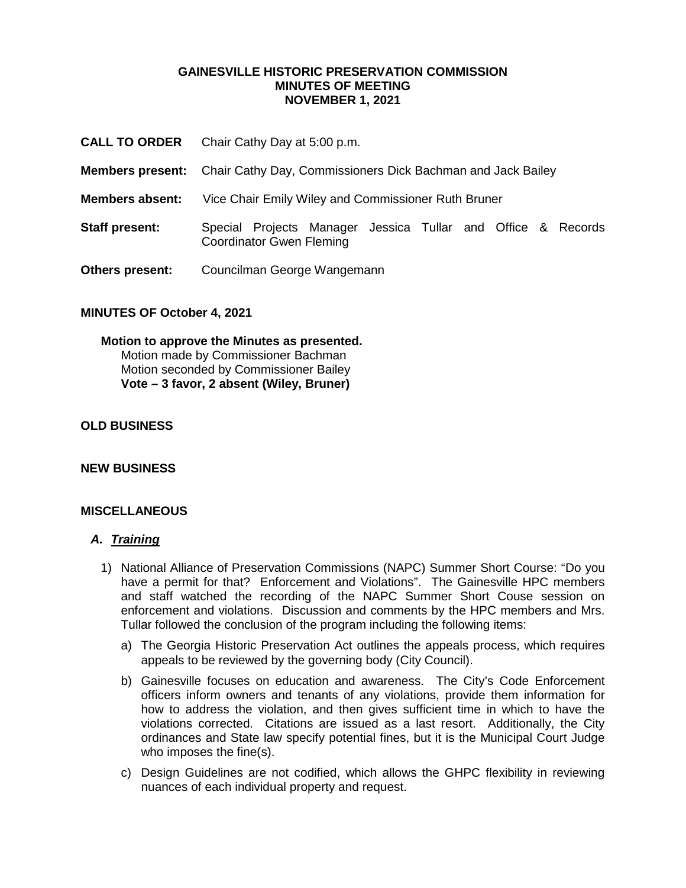### **GAINESVILLE HISTORIC PRESERVATION COMMISSION MINUTES OF MEETING NOVEMBER 1, 2021**

- **CALL TO ORDER** Chair Cathy Day at 5:00 p.m.
- **Members present:** Chair Cathy Day, Commissioners Dick Bachman and Jack Bailey
- **Members absent:** Vice Chair Emily Wiley and Commissioner Ruth Bruner
- **Staff present:** Special Projects Manager Jessica Tullar and Office & Records Coordinator Gwen Fleming
- **Others present:** Councilman George Wangemann

### **MINUTES OF October 4, 2021**

# **Motion to approve the Minutes as presented.** Motion made by Commissioner Bachman Motion seconded by Commissioner Bailey **Vote – 3 favor, 2 absent (Wiley, Bruner)**

# **OLD BUSINESS**

### **NEW BUSINESS**

### **MISCELLANEOUS**

### *A. Training*

- 1) National Alliance of Preservation Commissions (NAPC) Summer Short Course: "Do you have a permit for that? Enforcement and Violations". The Gainesville HPC members and staff watched the recording of the NAPC Summer Short Couse session on enforcement and violations. Discussion and comments by the HPC members and Mrs. Tullar followed the conclusion of the program including the following items:
	- a) The Georgia Historic Preservation Act outlines the appeals process, which requires appeals to be reviewed by the governing body (City Council).
	- b) Gainesville focuses on education and awareness. The City's Code Enforcement officers inform owners and tenants of any violations, provide them information for how to address the violation, and then gives sufficient time in which to have the violations corrected. Citations are issued as a last resort. Additionally, the City ordinances and State law specify potential fines, but it is the Municipal Court Judge who imposes the fine(s).
	- c) Design Guidelines are not codified, which allows the GHPC flexibility in reviewing nuances of each individual property and request.